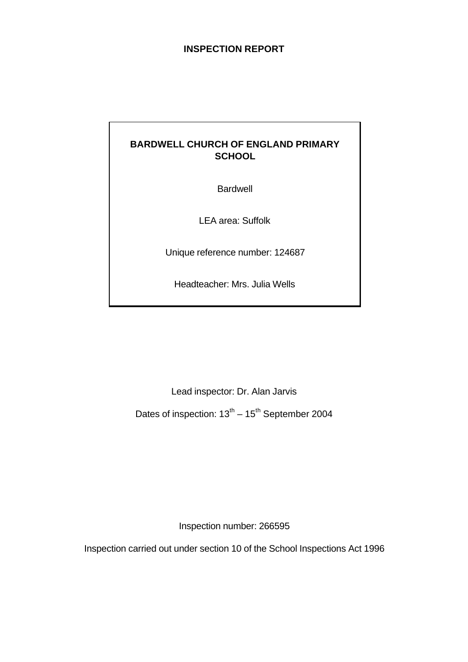### **INSPECTION REPORT**

# **BARDWELL CHURCH OF ENGLAND PRIMARY SCHOOL**

Bardwell

LEA area: Suffolk

Unique reference number: 124687

Headteacher: Mrs. Julia Wells

Lead inspector: Dr. Alan Jarvis

Dates of inspection:  $13<sup>th</sup> - 15<sup>th</sup>$  September 2004

Inspection number: 266595

Inspection carried out under section 10 of the School Inspections Act 1996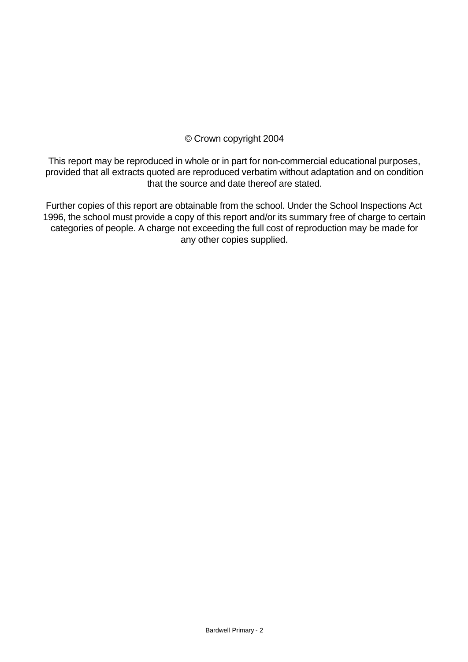## © Crown copyright 2004

This report may be reproduced in whole or in part for non-commercial educational purposes, provided that all extracts quoted are reproduced verbatim without adaptation and on condition that the source and date thereof are stated.

Further copies of this report are obtainable from the school. Under the School Inspections Act 1996, the school must provide a copy of this report and/or its summary free of charge to certain categories of people. A charge not exceeding the full cost of reproduction may be made for any other copies supplied.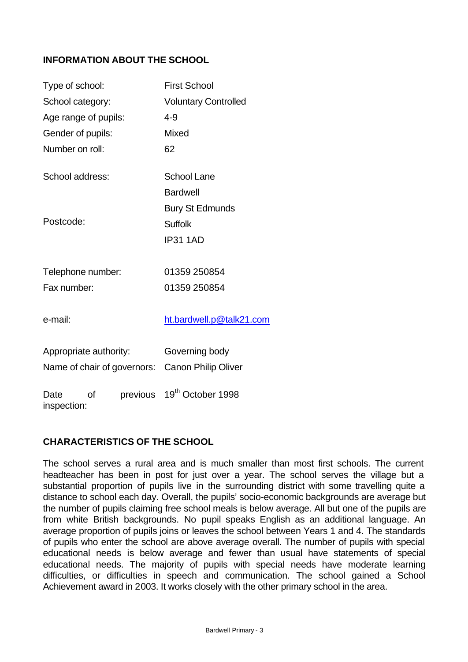## **INFORMATION ABOUT THE SCHOOL**

| Type of school:                       | <b>First School</b>           |  |  |
|---------------------------------------|-------------------------------|--|--|
| School category:                      | <b>Voluntary Controlled</b>   |  |  |
| Age range of pupils:                  | $4 - 9$                       |  |  |
| Gender of pupils:                     | Mixed                         |  |  |
| Number on roll:                       | 62                            |  |  |
| School address:                       | <b>School Lane</b>            |  |  |
|                                       | <b>Bardwell</b>               |  |  |
|                                       | <b>Bury St Edmunds</b>        |  |  |
| Postcode:                             | <b>Suffolk</b>                |  |  |
|                                       | <b>IP31 1AD</b>               |  |  |
| Telephone number:                     | 01359 250854                  |  |  |
| Fax number:                           | 01359 250854                  |  |  |
| e-mail:                               | ht.bardwell.p@talk21.com      |  |  |
| Appropriate authority:                | Governing body                |  |  |
| Name of chair of governors:           | <b>Canon Philip Oliver</b>    |  |  |
| previous<br>Ωf<br>Date<br>inspection: | 19 <sup>th</sup> October 1998 |  |  |

## **CHARACTERISTICS OF THE SCHOOL**

The school serves a rural area and is much smaller than most first schools. The current headteacher has been in post for just over a year. The school serves the village but a substantial proportion of pupils live in the surrounding district with some travelling quite a distance to school each day. Overall, the pupils' socio-economic backgrounds are average but the number of pupils claiming free school meals is below average. All but one of the pupils are from white British backgrounds. No pupil speaks English as an additional language. An average proportion of pupils joins or leaves the school between Years 1 and 4. The standards of pupils who enter the school are above average overall. The number of pupils with special educational needs is below average and fewer than usual have statements of special educational needs. The majority of pupils with special needs have moderate learning difficulties, or difficulties in speech and communication. The school gained a School Achievement award in 2003. It works closely with the other primary school in the area.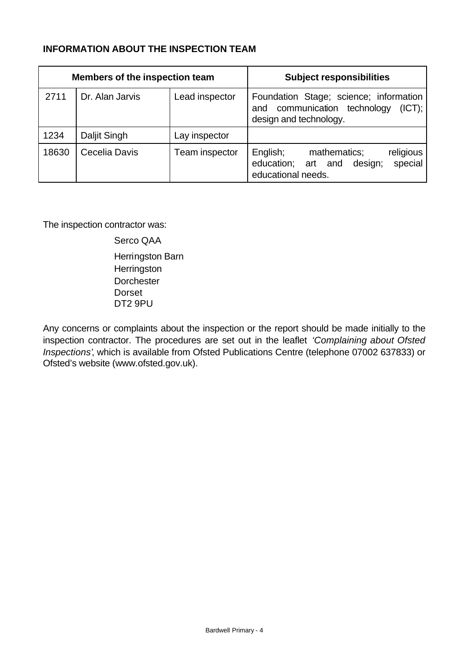### **INFORMATION ABOUT THE INSPECTION TEAM**

| <b>Members of the inspection team</b> |                 |                | <b>Subject responsibilities</b>                                                                            |
|---------------------------------------|-----------------|----------------|------------------------------------------------------------------------------------------------------------|
| 2711                                  | Dr. Alan Jarvis | Lead inspector | Foundation Stage; science; information<br>and communication technology<br>(ICT):<br>design and technology. |
| 1234                                  | Daljit Singh    | Lay inspector  |                                                                                                            |
| 18630                                 | Cecelia Davis   | Team inspector | English;<br>mathematics;<br>religious<br>special<br>education; art and design;<br>educational needs.       |

The inspection contractor was:

Serco QAA Herringston Barn **Herringston Dorchester** Dorset DT2 9PU

Any concerns or complaints about the inspection or the report should be made initially to the inspection contractor. The procedures are set out in the leaflet *'Complaining about Ofsted Inspections'*, which is available from Ofsted Publications Centre (telephone 07002 637833) or Ofsted's website (www.ofsted.gov.uk).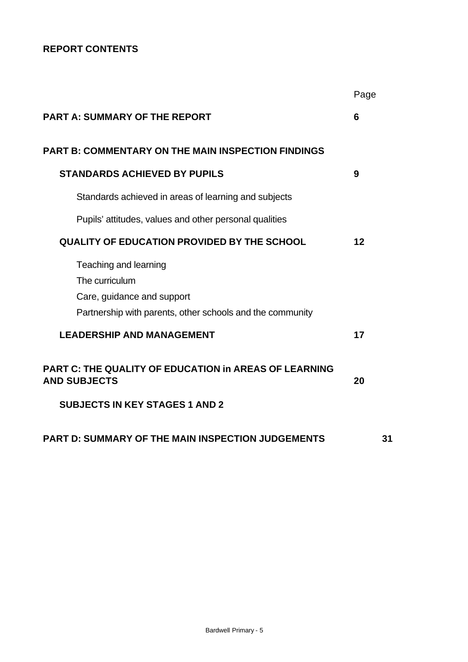# **REPORT CONTENTS**

|                                                                                                                                    | Page |
|------------------------------------------------------------------------------------------------------------------------------------|------|
| <b>PART A: SUMMARY OF THE REPORT</b>                                                                                               | 6    |
| <b>PART B: COMMENTARY ON THE MAIN INSPECTION FINDINGS</b>                                                                          |      |
| <b>STANDARDS ACHIEVED BY PUPILS</b>                                                                                                | 9    |
| Standards achieved in areas of learning and subjects                                                                               |      |
| Pupils' attitudes, values and other personal qualities                                                                             |      |
| <b>QUALITY OF EDUCATION PROVIDED BY THE SCHOOL</b>                                                                                 | 12   |
| Teaching and learning<br>The curriculum<br>Care, guidance and support<br>Partnership with parents, other schools and the community |      |
| <b>LEADERSHIP AND MANAGEMENT</b>                                                                                                   | 17   |
| <b>PART C: THE QUALITY OF EDUCATION in AREAS OF LEARNING</b><br><b>AND SUBJECTS</b>                                                | 20   |
| <b>SUBJECTS IN KEY STAGES 1 AND 2</b>                                                                                              |      |
| <b>PART D: SUMMARY OF THE MAIN INSPECTION JUDGEMENTS</b>                                                                           | 31   |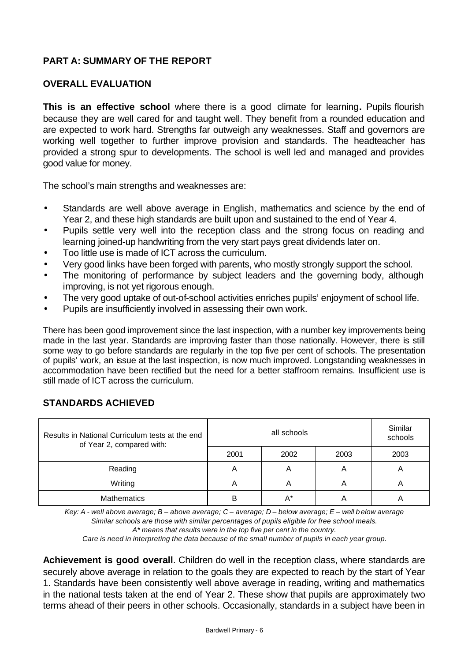## **PART A: SUMMARY OF THE REPORT**

### **OVERALL EVALUATION**

**This is an effective school** where there is a good climate for learning**.** Pupils flourish because they are well cared for and taught well. They benefit from a rounded education and are expected to work hard. Strengths far outweigh any weaknesses. Staff and governors are working well together to further improve provision and standards. The headteacher has provided a strong spur to developments. The school is well led and managed and provides good value for money.

The school's main strengths and weaknesses are:

- Standards are well above average in English, mathematics and science by the end of Year 2, and these high standards are built upon and sustained to the end of Year 4.
- Pupils settle very well into the reception class and the strong focus on reading and learning joined-up handwriting from the very start pays great dividends later on.
- Too little use is made of ICT across the curriculum.
- Very good links have been forged with parents, who mostly strongly support the school.
- The monitoring of performance by subject leaders and the governing body, although improving, is not yet rigorous enough.
- The very good uptake of out-of-school activities enriches pupils' enjoyment of school life.
- Pupils are insufficiently involved in assessing their own work.

There has been good improvement since the last inspection, with a number key improvements being made in the last year. Standards are improving faster than those nationally. However, there is still some way to go before standards are regularly in the top five per cent of schools. The presentation of pupils' work, an issue at the last inspection, is now much improved. Longstanding weaknesses in accommodation have been rectified but the need for a better staffroom remains. Insufficient use is still made of ICT across the curriculum.

### **STANDARDS ACHIEVED**

| Results in National Curriculum tests at the end<br>of Year 2, compared with: |      | Similar<br>schools |      |      |
|------------------------------------------------------------------------------|------|--------------------|------|------|
|                                                                              | 2001 | 2002               | 2003 | 2003 |
| Reading                                                                      |      | A                  | 宀    |      |
| Writing                                                                      | A    | А                  | A    |      |
| <b>Mathematics</b>                                                           |      | А*                 |      |      |

*Key: A - well above average; B – above average; C – average; D – below average; E – well b elow average Similar schools are those with similar percentages of pupils eligible for free school meals. A\* means that results were in the top five per cent in the country.*

*Care is need in interpreting the data because of the small number of pupils in each year group.*

**Achievement is good overall**. Children do well in the reception class, where standards are securely above average in relation to the goals they are expected to reach by the start of Year 1. Standards have been consistently well above average in reading, writing and mathematics in the national tests taken at the end of Year 2. These show that pupils are approximately two terms ahead of their peers in other schools. Occasionally, standards in a subject have been in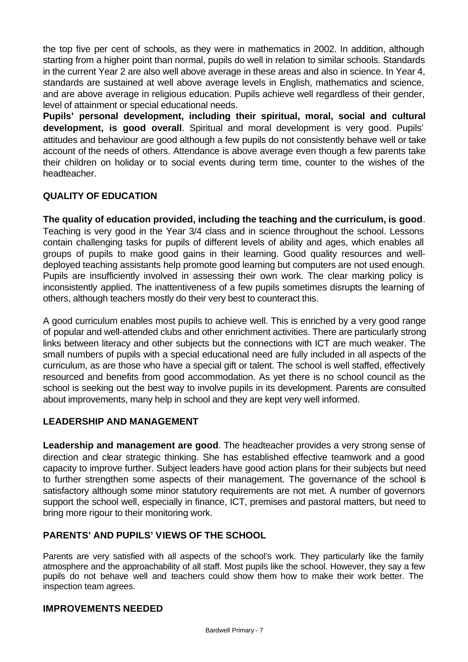the top five per cent of schools, as they were in mathematics in 2002. In addition, although starting from a higher point than normal, pupils do well in relation to similar schools. Standards in the current Year 2 are also well above average in these areas and also in science. In Year 4, standards are sustained at well above average levels in English, mathematics and science, and are above average in religious education. Pupils achieve well regardless of their gender, level of attainment or special educational needs.

**Pupils' personal development, including their spiritual, moral, social and cultural development, is good overall**. Spiritual and moral development is very good. Pupils' attitudes and behaviour are good although a few pupils do not consistently behave well or take account of the needs of others. Attendance is above average even though a few parents take their children on holiday or to social events during term time, counter to the wishes of the headteacher.

### **QUALITY OF EDUCATION**

**The quality of education provided, including the teaching and the curriculum, is good**. Teaching is very good in the Year 3/4 class and in science throughout the school. Lessons contain challenging tasks for pupils of different levels of ability and ages, which enables all groups of pupils to make good gains in their learning. Good quality resources and welldeployed teaching assistants help promote good learning but computers are not used enough. Pupils are insufficiently involved in assessing their own work. The clear marking policy is inconsistently applied. The inattentiveness of a few pupils sometimes disrupts the learning of others, although teachers mostly do their very best to counteract this.

A good curriculum enables most pupils to achieve well. This is enriched by a very good range of popular and well-attended clubs and other enrichment activities. There are particularly strong links between literacy and other subjects but the connections with ICT are much weaker. The small numbers of pupils with a special educational need are fully included in all aspects of the curriculum, as are those who have a special gift or talent. The school is well staffed, effectively resourced and benefits from good accommodation. As yet there is no school council as the school is seeking out the best way to involve pupils in its development. Parents are consulted about improvements, many help in school and they are kept very well informed.

### **LEADERSHIP AND MANAGEMENT**

**Leadership and management are good**. The headteacher provides a very strong sense of direction and clear strategic thinking. She has established effective teamwork and a good capacity to improve further. Subject leaders have good action plans for their subjects but need to further strengthen some aspects of their management. The governance of the school is satisfactory although some minor statutory requirements are not met. A number of governors support the school well, especially in finance, ICT, premises and pastoral matters, but need to bring more rigour to their monitoring work.

## **PARENTS' AND PUPILS' VIEWS OF THE SCHOOL**

Parents are very satisfied with all aspects of the school's work. They particularly like the family atmosphere and the approachability of all staff. Most pupils like the school. However, they say a few pupils do not behave well and teachers could show them how to make their work better. The inspection team agrees.

### **IMPROVEMENTS NEEDED**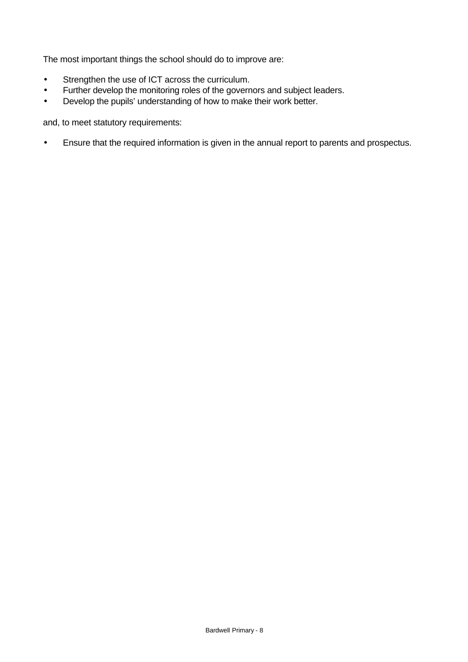The most important things the school should do to improve are:

- Strengthen the use of ICT across the curriculum.
- Further develop the monitoring roles of the governors and subject leaders.
- Develop the pupils' understanding of how to make their work better.

and, to meet statutory requirements:

• Ensure that the required information is given in the annual report to parents and prospectus.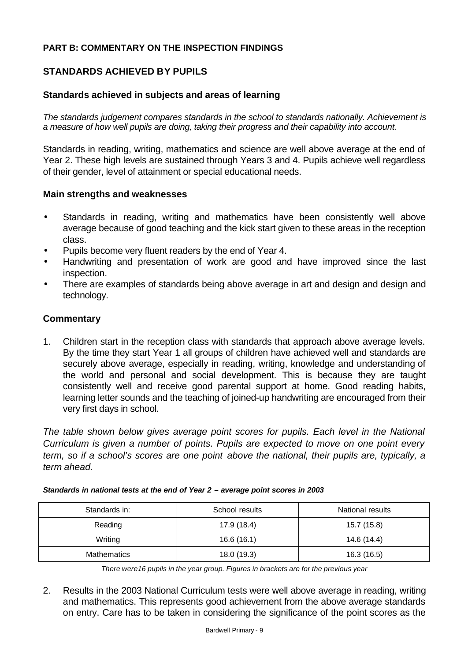### **PART B: COMMENTARY ON THE INSPECTION FINDINGS**

### **STANDARDS ACHIEVED BY PUPILS**

#### **Standards achieved in subjects and areas of learning**

*The standards judgement compares standards in the school to standards nationally. Achievement is a measure of how well pupils are doing, taking their progress and their capability into account.*

Standards in reading, writing, mathematics and science are well above average at the end of Year 2. These high levels are sustained through Years 3 and 4. Pupils achieve well regardless of their gender, level of attainment or special educational needs.

#### **Main strengths and weaknesses**

- Standards in reading, writing and mathematics have been consistently well above average because of good teaching and the kick start given to these areas in the reception class.
- Pupils become very fluent readers by the end of Year 4.
- Handwriting and presentation of work are good and have improved since the last inspection.
- There are examples of standards being above average in art and design and design and technology.

#### **Commentary**

1. Children start in the reception class with standards that approach above average levels. By the time they start Year 1 all groups of children have achieved well and standards are securely above average, especially in reading, writing, knowledge and understanding of the world and personal and social development. This is because they are taught consistently well and receive good parental support at home. Good reading habits, learning letter sounds and the teaching of joined-up handwriting are encouraged from their very first days in school.

*The table shown below gives average point scores for pupils. Each level in the National Curriculum is given a number of points. Pupils are expected to move on one point every term, so if a school's scores are one point above the national, their pupils are, typically, a term ahead.* 

| Standards in:      | School results | National results |
|--------------------|----------------|------------------|
| Reading            | 17.9 (18.4)    | 15.7 (15.8)      |
| Writing            | 16.6(16.1)     | 14.6 (14.4)      |
| <b>Mathematics</b> | 18.0 (19.3)    | 16.3(16.5)       |

*Standards in national tests at the end of Year 2 – average point scores in 2003*

*There were16 pupils in the year group. Figures in brackets are for the previous year* 

2. Results in the 2003 National Curriculum tests were well above average in reading, writing and mathematics. This represents good achievement from the above average standards on entry. Care has to be taken in considering the significance of the point scores as the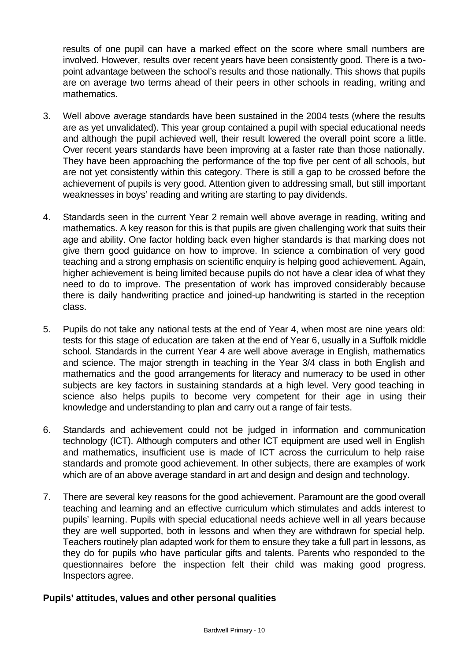results of one pupil can have a marked effect on the score where small numbers are involved. However, results over recent years have been consistently good. There is a twopoint advantage between the school's results and those nationally. This shows that pupils are on average two terms ahead of their peers in other schools in reading, writing and mathematics.

- 3. Well above average standards have been sustained in the 2004 tests (where the results are as yet unvalidated). This year group contained a pupil with special educational needs and although the pupil achieved well, their result lowered the overall point score a little. Over recent years standards have been improving at a faster rate than those nationally. They have been approaching the performance of the top five per cent of all schools, but are not yet consistently within this category. There is still a gap to be crossed before the achievement of pupils is very good. Attention given to addressing small, but still important weaknesses in boys' reading and writing are starting to pay dividends.
- 4. Standards seen in the current Year 2 remain well above average in reading, writing and mathematics. A key reason for this is that pupils are given challenging work that suits their age and ability. One factor holding back even higher standards is that marking does not give them good guidance on how to improve. In science a combination of very good teaching and a strong emphasis on scientific enquiry is helping good achievement. Again, higher achievement is being limited because pupils do not have a clear idea of what they need to do to improve. The presentation of work has improved considerably because there is daily handwriting practice and joined-up handwriting is started in the reception class.
- 5. Pupils do not take any national tests at the end of Year 4, when most are nine years old: tests for this stage of education are taken at the end of Year 6, usually in a Suffolk middle school. Standards in the current Year 4 are well above average in English, mathematics and science. The major strength in teaching in the Year 3/4 class in both English and mathematics and the good arrangements for literacy and numeracy to be used in other subjects are key factors in sustaining standards at a high level. Very good teaching in science also helps pupils to become very competent for their age in using their knowledge and understanding to plan and carry out a range of fair tests.
- 6. Standards and achievement could not be judged in information and communication technology (ICT). Although computers and other ICT equipment are used well in English and mathematics, insufficient use is made of ICT across the curriculum to help raise standards and promote good achievement. In other subjects, there are examples of work which are of an above average standard in art and design and design and technology.
- 7. There are several key reasons for the good achievement. Paramount are the good overall teaching and learning and an effective curriculum which stimulates and adds interest to pupils' learning. Pupils with special educational needs achieve well in all years because they are well supported, both in lessons and when they are withdrawn for special help. Teachers routinely plan adapted work for them to ensure they take a full part in lessons, as they do for pupils who have particular gifts and talents. Parents who responded to the questionnaires before the inspection felt their child was making good progress. Inspectors agree.

### **Pupils' attitudes, values and other personal qualities**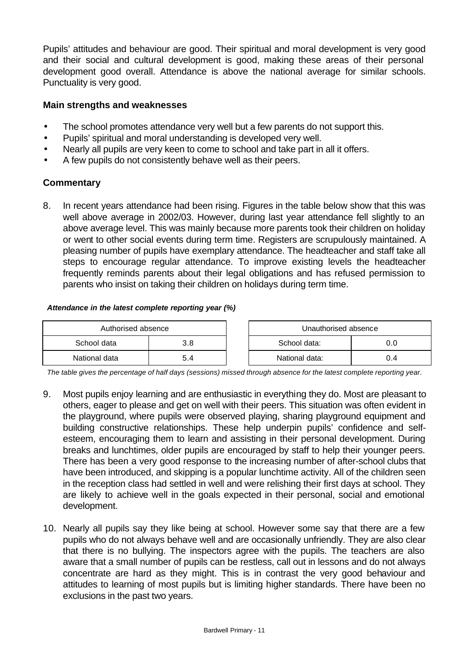Pupils' attitudes and behaviour are good. Their spiritual and moral development is very good and their social and cultural development is good, making these areas of their personal development good overall. Attendance is above the national average for similar schools. Punctuality is very good.

### **Main strengths and weaknesses**

- The school promotes attendance very well but a few parents do not support this.
- Pupils' spiritual and moral understanding is developed very well.
- Nearly all pupils are very keen to come to school and take part in all it offers.
- A few pupils do not consistently behave well as their peers.

### **Commentary**

8. In recent years attendance had been rising. Figures in the table below show that this was well above average in 2002/03. However, during last year attendance fell slightly to an above average level. This was mainly because more parents took their children on holiday or went to other social events during term time. Registers are scrupulously maintained. A pleasing number of pupils have exemplary attendance. The headteacher and staff take all steps to encourage regular attendance. To improve existing levels the headteacher frequently reminds parents about their legal obligations and has refused permission to parents who insist on taking their children on holidays during term time.

#### *Attendance in the latest complete reporting year (%)*

| Authorised absence |     | Unauthorised absence |     |
|--------------------|-----|----------------------|-----|
| School data        | 3.8 | School data:         |     |
| National data      | 5.4 | National data:       | 0.4 |

*The table gives the percentage of half days (sessions) missed through absence for the latest complete reporting year.*

- 9. Most pupils enjoy learning and are enthusiastic in everything they do. Most are pleasant to others, eager to please and get on well with their peers. This situation was often evident in the playground, where pupils were observed playing, sharing playground equipment and building constructive relationships. These help underpin pupils' confidence and selfesteem, encouraging them to learn and assisting in their personal development. During breaks and lunchtimes, older pupils are encouraged by staff to help their younger peers. There has been a very good response to the increasing number of after-school clubs that have been introduced, and skipping is a popular lunchtime activity. All of the children seen in the reception class had settled in well and were relishing their first days at school. They are likely to achieve well in the goals expected in their personal, social and emotional development.
- 10. Nearly all pupils say they like being at school. However some say that there are a few pupils who do not always behave well and are occasionally unfriendly. They are also clear that there is no bullying. The inspectors agree with the pupils. The teachers are also aware that a small number of pupils can be restless, call out in lessons and do not always concentrate are hard as they might. This is in contrast the very good behaviour and attitudes to learning of most pupils but is limiting higher standards. There have been no exclusions in the past two years.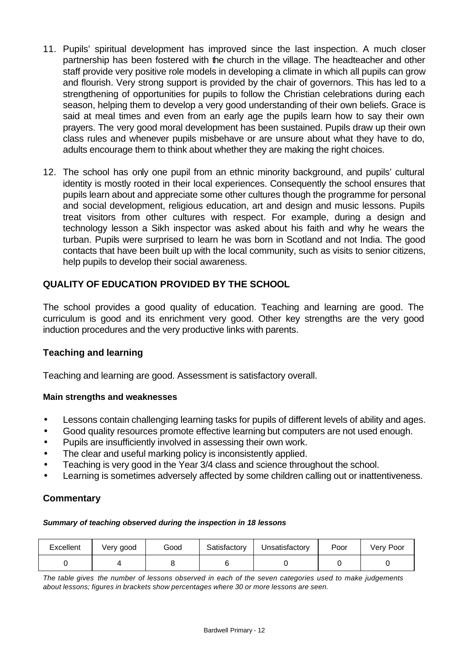- 11. Pupils' spiritual development has improved since the last inspection. A much closer partnership has been fostered with the church in the village. The headteacher and other staff provide very positive role models in developing a climate in which all pupils can grow and flourish. Very strong support is provided by the chair of governors. This has led to a strengthening of opportunities for pupils to follow the Christian celebrations during each season, helping them to develop a very good understanding of their own beliefs. Grace is said at meal times and even from an early age the pupils learn how to say their own prayers. The very good moral development has been sustained. Pupils draw up their own class rules and whenever pupils misbehave or are unsure about what they have to do, adults encourage them to think about whether they are making the right choices.
- 12. The school has only one pupil from an ethnic minority background, and pupils' cultural identity is mostly rooted in their local experiences. Consequently the school ensures that pupils learn about and appreciate some other cultures though the programme for personal and social development, religious education, art and design and music lessons. Pupils treat visitors from other cultures with respect. For example, during a design and technology lesson a Sikh inspector was asked about his faith and why he wears the turban. Pupils were surprised to learn he was born in Scotland and not India. The good contacts that have been built up with the local community, such as visits to senior citizens, help pupils to develop their social awareness.

## **QUALITY OF EDUCATION PROVIDED BY THE SCHOOL**

The school provides a good quality of education. Teaching and learning are good. The curriculum is good and its enrichment very good. Other key strengths are the very good induction procedures and the very productive links with parents.

### **Teaching and learning**

Teaching and learning are good. Assessment is satisfactory overall.

#### **Main strengths and weaknesses**

- Lessons contain challenging learning tasks for pupils of different levels of ability and ages.
- Good quality resources promote effective learning but computers are not used enough.
- Pupils are insufficiently involved in assessing their own work.
- The clear and useful marking policy is inconsistently applied.
- Teaching is very good in the Year 3/4 class and science throughout the school.
- Learning is sometimes adversely affected by some children calling out or inattentiveness.

#### **Commentary**

#### *Summary of teaching observed during the inspection in 18 lessons*

| Excellent | Very good | Good | Satisfactory | Unsatisfactory | Poor | Very Poor |
|-----------|-----------|------|--------------|----------------|------|-----------|
|           |           |      |              |                |      |           |

*The table gives the number of lessons observed in each of the seven categories used to make judgements about lessons; figures in brackets show percentages where 30 or more lessons are seen.*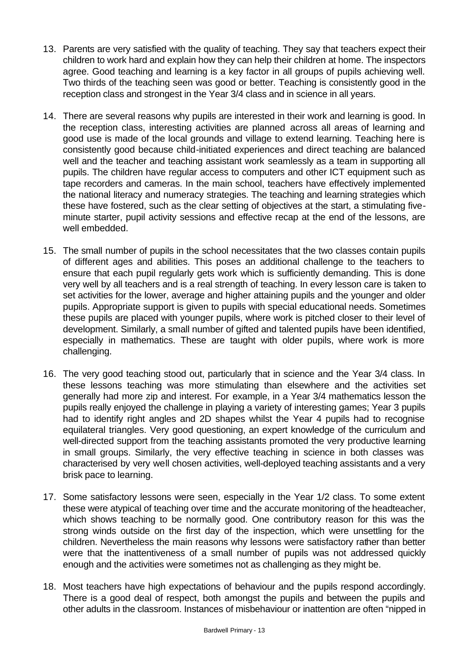- 13. Parents are very satisfied with the quality of teaching. They say that teachers expect their children to work hard and explain how they can help their children at home. The inspectors agree. Good teaching and learning is a key factor in all groups of pupils achieving well. Two thirds of the teaching seen was good or better. Teaching is consistently good in the reception class and strongest in the Year 3/4 class and in science in all years.
- 14. There are several reasons why pupils are interested in their work and learning is good. In the reception class, interesting activities are planned across all areas of learning and good use is made of the local grounds and village to extend learning. Teaching here is consistently good because child-initiated experiences and direct teaching are balanced well and the teacher and teaching assistant work seamlessly as a team in supporting all pupils. The children have regular access to computers and other ICT equipment such as tape recorders and cameras. In the main school, teachers have effectively implemented the national literacy and numeracy strategies. The teaching and learning strategies which these have fostered, such as the clear setting of objectives at the start, a stimulating fiveminute starter, pupil activity sessions and effective recap at the end of the lessons, are well embedded.
- 15. The small number of pupils in the school necessitates that the two classes contain pupils of different ages and abilities. This poses an additional challenge to the teachers to ensure that each pupil regularly gets work which is sufficiently demanding. This is done very well by all teachers and is a real strength of teaching. In every lesson care is taken to set activities for the lower, average and higher attaining pupils and the younger and older pupils. Appropriate support is given to pupils with special educational needs. Sometimes these pupils are placed with younger pupils, where work is pitched closer to their level of development. Similarly, a small number of gifted and talented pupils have been identified, especially in mathematics. These are taught with older pupils, where work is more challenging.
- 16. The very good teaching stood out, particularly that in science and the Year 3/4 class. In these lessons teaching was more stimulating than elsewhere and the activities set generally had more zip and interest. For example, in a Year 3/4 mathematics lesson the pupils really enjoyed the challenge in playing a variety of interesting games; Year 3 pupils had to identify right angles and 2D shapes whilst the Year 4 pupils had to recognise equilateral triangles. Very good questioning, an expert knowledge of the curriculum and well-directed support from the teaching assistants promoted the very productive learning in small groups. Similarly, the very effective teaching in science in both classes was characterised by very well chosen activities, well-deployed teaching assistants and a very brisk pace to learning.
- 17. Some satisfactory lessons were seen, especially in the Year 1/2 class. To some extent these were atypical of teaching over time and the accurate monitoring of the headteacher, which shows teaching to be normally good. One contributory reason for this was the strong winds outside on the first day of the inspection, which were unsettling for the children. Nevertheless the main reasons why lessons were satisfactory rather than better were that the inattentiveness of a small number of pupils was not addressed quickly enough and the activities were sometimes not as challenging as they might be.
- 18. Most teachers have high expectations of behaviour and the pupils respond accordingly. There is a good deal of respect, both amongst the pupils and between the pupils and other adults in the classroom. Instances of misbehaviour or inattention are often "nipped in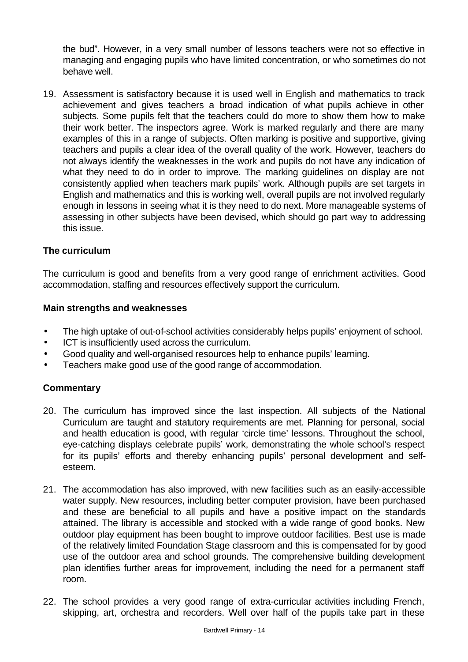the bud". However, in a very small number of lessons teachers were not so effective in managing and engaging pupils who have limited concentration, or who sometimes do not behave well.

19. Assessment is satisfactory because it is used well in English and mathematics to track achievement and gives teachers a broad indication of what pupils achieve in other subjects. Some pupils felt that the teachers could do more to show them how to make their work better. The inspectors agree. Work is marked regularly and there are many examples of this in a range of subjects. Often marking is positive and supportive, giving teachers and pupils a clear idea of the overall quality of the work. However, teachers do not always identify the weaknesses in the work and pupils do not have any indication of what they need to do in order to improve. The marking guidelines on display are not consistently applied when teachers mark pupils' work. Although pupils are set targets in English and mathematics and this is working well, overall pupils are not involved regularly enough in lessons in seeing what it is they need to do next. More manageable systems of assessing in other subjects have been devised, which should go part way to addressing this issue.

### **The curriculum**

The curriculum is good and benefits from a very good range of enrichment activities. Good accommodation, staffing and resources effectively support the curriculum.

#### **Main strengths and weaknesses**

- The high uptake of out-of-school activities considerably helps pupils' enjoyment of school.
- ICT is insufficiently used across the curriculum.
- Good quality and well-organised resources help to enhance pupils' learning.
- Teachers make good use of the good range of accommodation.

- 20. The curriculum has improved since the last inspection. All subjects of the National Curriculum are taught and statutory requirements are met. Planning for personal, social and health education is good, with regular 'circle time' lessons. Throughout the school, eye-catching displays celebrate pupils' work, demonstrating the whole school's respect for its pupils' efforts and thereby enhancing pupils' personal development and selfesteem.
- 21. The accommodation has also improved, with new facilities such as an easily-accessible water supply. New resources, including better computer provision, have been purchased and these are beneficial to all pupils and have a positive impact on the standards attained. The library is accessible and stocked with a wide range of good books. New outdoor play equipment has been bought to improve outdoor facilities. Best use is made of the relatively limited Foundation Stage classroom and this is compensated for by good use of the outdoor area and school grounds. The comprehensive building development plan identifies further areas for improvement, including the need for a permanent staff room.
- 22. The school provides a very good range of extra-curricular activities including French, skipping, art, orchestra and recorders. Well over half of the pupils take part in these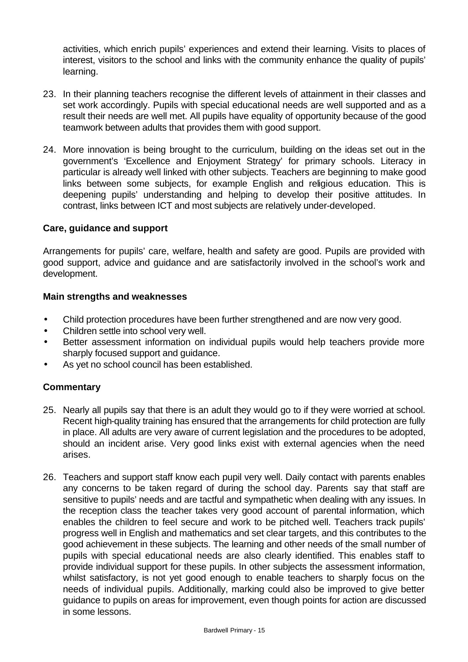activities, which enrich pupils' experiences and extend their learning. Visits to places of interest, visitors to the school and links with the community enhance the quality of pupils' learning.

- 23. In their planning teachers recognise the different levels of attainment in their classes and set work accordingly. Pupils with special educational needs are well supported and as a result their needs are well met. All pupils have equality of opportunity because of the good teamwork between adults that provides them with good support.
- 24. More innovation is being brought to the curriculum, building on the ideas set out in the government's 'Excellence and Enjoyment Strategy' for primary schools. Literacy in particular is already well linked with other subjects. Teachers are beginning to make good links between some subjects, for example English and religious education. This is deepening pupils' understanding and helping to develop their positive attitudes. In contrast, links between ICT and most subjects are relatively under-developed.

#### **Care, guidance and support**

Arrangements for pupils' care, welfare, health and safety are good. Pupils are provided with good support, advice and guidance and are satisfactorily involved in the school's work and development.

#### **Main strengths and weaknesses**

- Child protection procedures have been further strengthened and are now very good.
- Children settle into school very well.
- Better assessment information on individual pupils would help teachers provide more sharply focused support and guidance.
- As yet no school council has been established.

- 25. Nearly all pupils say that there is an adult they would go to if they were worried at school. Recent high-quality training has ensured that the arrangements for child protection are fully in place. All adults are very aware of current legislation and the procedures to be adopted, should an incident arise. Very good links exist with external agencies when the need arises.
- 26. Teachers and support staff know each pupil very well. Daily contact with parents enables any concerns to be taken regard of during the school day. Parents say that staff are sensitive to pupils' needs and are tactful and sympathetic when dealing with any issues. In the reception class the teacher takes very good account of parental information, which enables the children to feel secure and work to be pitched well. Teachers track pupils' progress well in English and mathematics and set clear targets, and this contributes to the good achievement in these subjects. The learning and other needs of the small number of pupils with special educational needs are also clearly identified. This enables staff to provide individual support for these pupils. In other subjects the assessment information, whilst satisfactory, is not yet good enough to enable teachers to sharply focus on the needs of individual pupils. Additionally, marking could also be improved to give better guidance to pupils on areas for improvement, even though points for action are discussed in some lessons.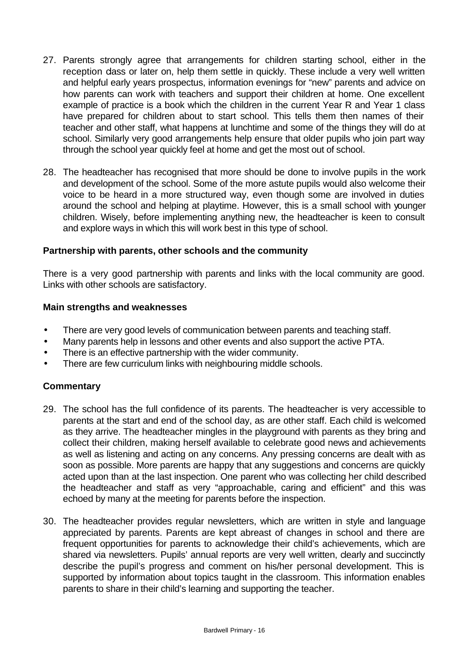- 27. Parents strongly agree that arrangements for children starting school, either in the reception dass or later on, help them settle in quickly. These include a very well written and helpful early years prospectus, information evenings for "new" parents and advice on how parents can work with teachers and support their children at home. One excellent example of practice is a book which the children in the current Year R and Year 1 class have prepared for children about to start school. This tells them then names of their teacher and other staff, what happens at lunchtime and some of the things they will do at school. Similarly very good arrangements help ensure that older pupils who join part way through the school year quickly feel at home and get the most out of school.
- 28. The headteacher has recognised that more should be done to involve pupils in the work and development of the school. Some of the more astute pupils would also welcome their voice to be heard in a more structured way, even though some are involved in duties around the school and helping at playtime. However, this is a small school with younger children. Wisely, before implementing anything new, the headteacher is keen to consult and explore ways in which this will work best in this type of school.

### **Partnership with parents, other schools and the community**

There is a very good partnership with parents and links with the local community are good. Links with other schools are satisfactory.

#### **Main strengths and weaknesses**

- There are very good levels of communication between parents and teaching staff.
- Many parents help in lessons and other events and also support the active PTA.
- There is an effective partnership with the wider community.
- There are few curriculum links with neighbouring middle schools.

- 29. The school has the full confidence of its parents. The headteacher is very accessible to parents at the start and end of the school day, as are other staff. Each child is welcomed as they arrive. The headteacher mingles in the playground with parents as they bring and collect their children, making herself available to celebrate good news and achievements as well as listening and acting on any concerns. Any pressing concerns are dealt with as soon as possible. More parents are happy that any suggestions and concerns are quickly acted upon than at the last inspection. One parent who was collecting her child described the headteacher and staff as very "approachable, caring and efficient" and this was echoed by many at the meeting for parents before the inspection.
- 30. The headteacher provides regular newsletters, which are written in style and language appreciated by parents. Parents are kept abreast of changes in school and there are frequent opportunities for parents to acknowledge their child's achievements, which are shared via newsletters. Pupils' annual reports are very well written, clearly and succinctly describe the pupil's progress and comment on his/her personal development. This is supported by information about topics taught in the classroom. This information enables parents to share in their child's learning and supporting the teacher.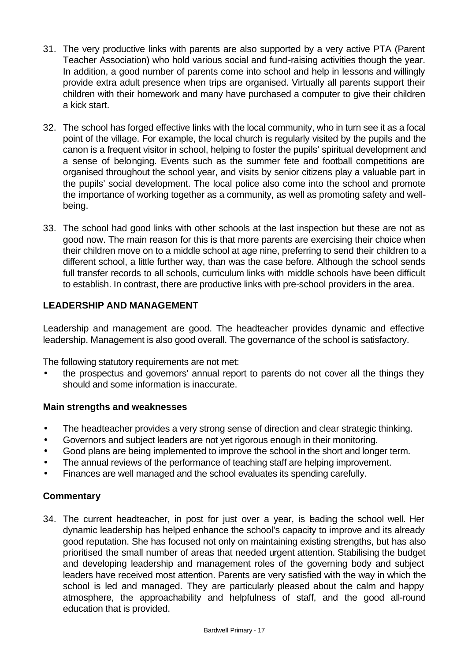- 31. The very productive links with parents are also supported by a very active PTA (Parent Teacher Association) who hold various social and fund-raising activities though the year. In addition, a good number of parents come into school and help in lessons and willingly provide extra adult presence when trips are organised. Virtually all parents support their children with their homework and many have purchased a computer to give their children a kick start.
- 32. The school has forged effective links with the local community, who in turn see it as a focal point of the village. For example, the local church is regularly visited by the pupils and the canon is a frequent visitor in school, helping to foster the pupils' spiritual development and a sense of belonging. Events such as the summer fete and football competitions are organised throughout the school year, and visits by senior citizens play a valuable part in the pupils' social development. The local police also come into the school and promote the importance of working together as a community, as well as promoting safety and wellbeing.
- 33. The school had good links with other schools at the last inspection but these are not as good now. The main reason for this is that more parents are exercising their choice when their children move on to a middle school at age nine, preferring to send their children to a different school, a little further way, than was the case before. Although the school sends full transfer records to all schools, curriculum links with middle schools have been difficult to establish. In contrast, there are productive links with pre-school providers in the area.

## **LEADERSHIP AND MANAGEMENT**

Leadership and management are good. The headteacher provides dynamic and effective leadership. Management is also good overall. The governance of the school is satisfactory.

The following statutory requirements are not met:

• the prospectus and governors' annual report to parents do not cover all the things they should and some information is inaccurate.

### **Main strengths and weaknesses**

- The headteacher provides a very strong sense of direction and clear strategic thinking.
- Governors and subject leaders are not yet rigorous enough in their monitoring.
- Good plans are being implemented to improve the school in the short and longer term.
- The annual reviews of the performance of teaching staff are helping improvement.
- Finances are well managed and the school evaluates its spending carefully.

### **Commentary**

34. The current headteacher, in post for just over a year, is leading the school well. Her dynamic leadership has helped enhance the school's capacity to improve and its already good reputation. She has focused not only on maintaining existing strengths, but has also prioritised the small number of areas that needed urgent attention. Stabilising the budget and developing leadership and management roles of the governing body and subject leaders have received most attention. Parents are very satisfied with the way in which the school is led and managed. They are particularly pleased about the calm and happy atmosphere, the approachability and helpfulness of staff, and the good all-round education that is provided.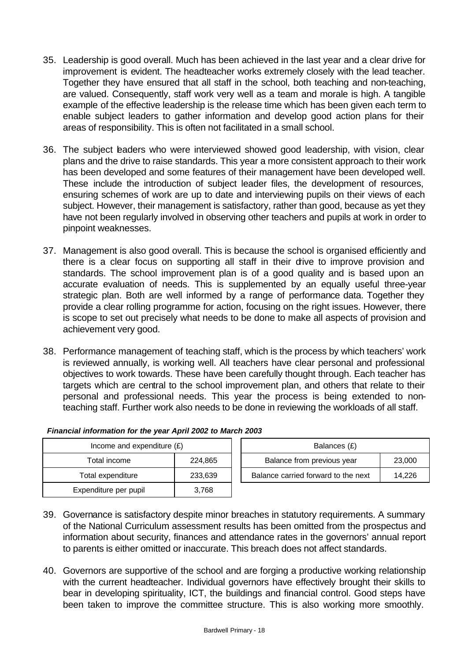- 35. Leadership is good overall. Much has been achieved in the last year and a clear drive for improvement is evident. The headteacher works extremely closely with the lead teacher. Together they have ensured that all staff in the school, both teaching and non-teaching, are valued. Consequently, staff work very well as a team and morale is high. A tangible example of the effective leadership is the release time which has been given each term to enable subject leaders to gather information and develop good action plans for their areas of responsibility. This is often not facilitated in a small school.
- 36. The subject leaders who were interviewed showed good leadership, with vision, clear plans and the drive to raise standards. This year a more consistent approach to their work has been developed and some features of their management have been developed well. These include the introduction of subject leader files, the development of resources, ensuring schemes of work are up to date and interviewing pupils on their views of each subject. However, their management is satisfactory, rather than good, because as yet they have not been regularly involved in observing other teachers and pupils at work in order to pinpoint weaknesses.
- 37. Management is also good overall. This is because the school is organised efficiently and there is a clear focus on supporting all staff in their drive to improve provision and standards. The school improvement plan is of a good quality and is based upon an accurate evaluation of needs. This is supplemented by an equally useful three-year strategic plan. Both are well informed by a range of performance data. Together they provide a clear rolling programme for action, focusing on the right issues. However, there is scope to set out precisely what needs to be done to make all aspects of provision and achievement very good.
- 38. Performance management of teaching staff, which is the process by which teachers' work is reviewed annually, is working well. All teachers have clear personal and professional objectives to work towards. These have been carefully thought through. Each teacher has targets which are central to the school improvement plan, and others that relate to their personal and professional needs. This year the process is being extended to nonteaching staff. Further work also needs to be done in reviewing the workloads of all staff.

| Income and expenditure $(E)$ |         | Balances (£)                        |        |  |
|------------------------------|---------|-------------------------------------|--------|--|
| Total income                 | 224,865 | Balance from previous year          | 23,000 |  |
| Total expenditure            | 233,639 | Balance carried forward to the next | 14.226 |  |
| Expenditure per pupil        | 3,768   |                                     |        |  |

| Financial information for the year April 2002 to March 2003 |  |  |  |
|-------------------------------------------------------------|--|--|--|
|                                                             |  |  |  |

- 39. Governance is satisfactory despite minor breaches in statutory requirements. A summary of the National Curriculum assessment results has been omitted from the prospectus and information about security, finances and attendance rates in the governors' annual report to parents is either omitted or inaccurate. This breach does not affect standards.
- 40. Governors are supportive of the school and are forging a productive working relationship with the current headteacher. Individual governors have effectively brought their skills to bear in developing spirituality, ICT, the buildings and financial control. Good steps have been taken to improve the committee structure. This is also working more smoothly.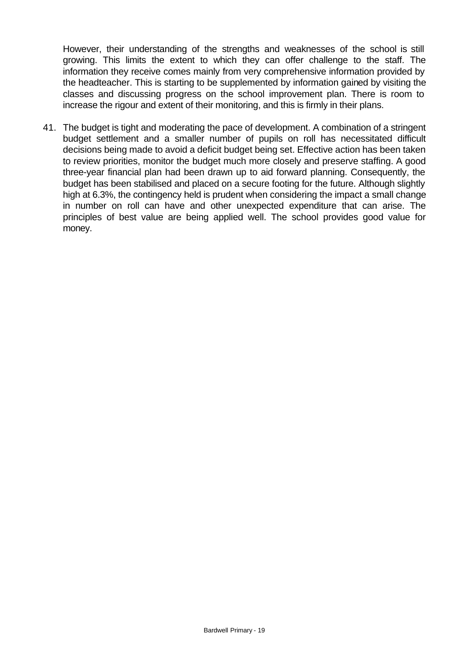However, their understanding of the strengths and weaknesses of the school is still growing. This limits the extent to which they can offer challenge to the staff. The information they receive comes mainly from very comprehensive information provided by the headteacher. This is starting to be supplemented by information gained by visiting the classes and discussing progress on the school improvement plan. There is room to increase the rigour and extent of their monitoring, and this is firmly in their plans.

41. The budget is tight and moderating the pace of development. A combination of a stringent budget settlement and a smaller number of pupils on roll has necessitated difficult decisions being made to avoid a deficit budget being set. Effective action has been taken to review priorities, monitor the budget much more closely and preserve staffing. A good three-year financial plan had been drawn up to aid forward planning. Consequently, the budget has been stabilised and placed on a secure footing for the future. Although slightly high at 6.3%, the contingency held is prudent when considering the impact a small change in number on roll can have and other unexpected expenditure that can arise. The principles of best value are being applied well. The school provides good value for money.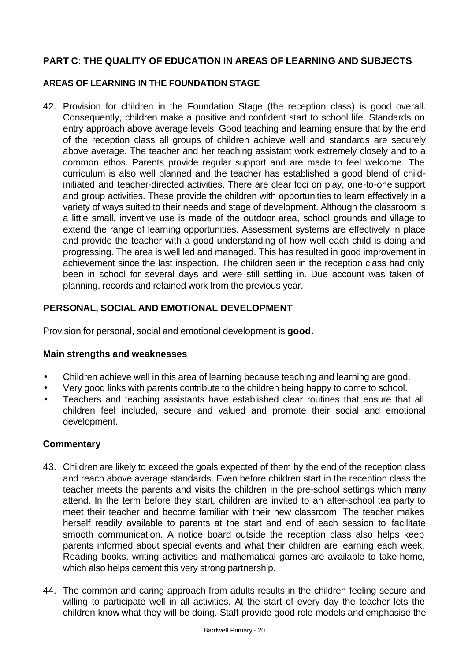## **PART C: THE QUALITY OF EDUCATION IN AREAS OF LEARNING AND SUBJECTS**

### **AREAS OF LEARNING IN THE FOUNDATION STAGE**

42. Provision for children in the Foundation Stage (the reception class) is good overall. Consequently, children make a positive and confident start to school life. Standards on entry approach above average levels. Good teaching and learning ensure that by the end of the reception class all groups of children achieve well and standards are securely above average. The teacher and her teaching assistant work extremely closely and to a common ethos. Parents provide regular support and are made to feel welcome. The curriculum is also well planned and the teacher has established a good blend of childinitiated and teacher-directed activities. There are clear foci on play, one-to-one support and group activities. These provide the children with opportunities to learn effectively in a variety of ways suited to their needs and stage of development. Although the classroom is a little small, inventive use is made of the outdoor area, school grounds and village to extend the range of learning opportunities. Assessment systems are effectively in place and provide the teacher with a good understanding of how well each child is doing and progressing. The area is well led and managed. This has resulted in good improvement in achievement since the last inspection. The children seen in the reception class had only been in school for several days and were still settling in. Due account was taken of planning, records and retained work from the previous year.

## **PERSONAL, SOCIAL AND EMOTIONAL DEVELOPMENT**

Provision for personal, social and emotional development is **good.**

### **Main strengths and weaknesses**

- Children achieve well in this area of learning because teaching and learning are good.
- Very good links with parents contribute to the children being happy to come to school.
- Teachers and teaching assistants have established clear routines that ensure that all children feel included, secure and valued and promote their social and emotional development.

- 43. Children are likely to exceed the goals expected of them by the end of the reception class and reach above average standards. Even before children start in the reception class the teacher meets the parents and visits the children in the pre-school settings which many attend. In the term before they start, children are invited to an after-school tea party to meet their teacher and become familiar with their new classroom. The teacher makes herself readily available to parents at the start and end of each session to facilitate smooth communication. A notice board outside the reception class also helps keep parents informed about special events and what their children are learning each week. Reading books, writing activities and mathematical games are available to take home, which also helps cement this very strong partnership.
- 44. The common and caring approach from adults results in the children feeling secure and willing to participate well in all activities. At the start of every day the teacher lets the children know what they will be doing. Staff provide good role models and emphasise the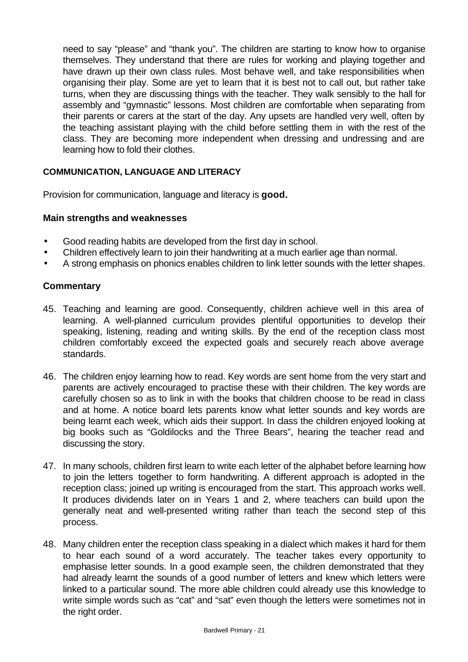need to say "please" and "thank you". The children are starting to know how to organise themselves. They understand that there are rules for working and playing together and have drawn up their own class rules. Most behave well, and take responsibilities when organising their play. Some are yet to learn that it is best not to call out, but rather take turns, when they are discussing things with the teacher. They walk sensibly to the hall for assembly and "gymnastic" lessons. Most children are comfortable when separating from their parents or carers at the start of the day. Any upsets are handled very well, often by the teaching assistant playing with the child before settling them in with the rest of the class. They are becoming more independent when dressing and undressing and are learning how to fold their clothes.

### **COMMUNICATION, LANGUAGE AND LITERACY**

Provision for communication, language and literacy is **good.**

#### **Main strengths and weaknesses**

- Good reading habits are developed from the first day in school.
- Children effectively learn to join their handwriting at a much earlier age than normal.
- A strong emphasis on phonics enables children to link letter sounds with the letter shapes.

- 45. Teaching and learning are good. Consequently, children achieve well in this area of learning. A well-planned curriculum provides plentiful opportunities to develop their speaking, listening, reading and writing skills. By the end of the reception class most children comfortably exceed the expected goals and securely reach above average standards.
- 46. The children enjoy learning how to read. Key words are sent home from the very start and parents are actively encouraged to practise these with their children. The key words are carefully chosen so as to link in with the books that children choose to be read in class and at home. A notice board lets parents know what letter sounds and key words are being learnt each week, which aids their support. In class the children enjoyed looking at big books such as "Goldilocks and the Three Bears", hearing the teacher read and discussing the story.
- 47. In many schools, children first learn to write each letter of the alphabet before learning how to join the letters together to form handwriting. A different approach is adopted in the reception class; joined up writing is encouraged from the start. This approach works well. It produces dividends later on in Years 1 and 2, where teachers can build upon the generally neat and well-presented writing rather than teach the second step of this process.
- 48. Many children enter the reception class speaking in a dialect which makes it hard for them to hear each sound of a word accurately. The teacher takes every opportunity to emphasise letter sounds. In a good example seen, the children demonstrated that they had already learnt the sounds of a good number of letters and knew which letters were linked to a particular sound. The more able children could already use this knowledge to write simple words such as "cat" and "sat" even though the letters were sometimes not in the right order.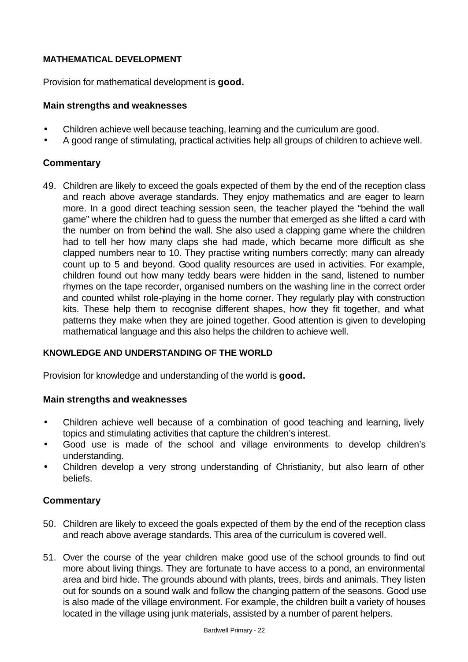### **MATHEMATICAL DEVELOPMENT**

Provision for mathematical development is **good.**

### **Main strengths and weaknesses**

- Children achieve well because teaching, learning and the curriculum are good.
- A good range of stimulating, practical activities help all groups of children to achieve well.

### **Commentary**

49. Children are likely to exceed the goals expected of them by the end of the reception class and reach above average standards. They enjoy mathematics and are eager to learn more. In a good direct teaching session seen, the teacher played the "behind the wall game" where the children had to guess the number that emerged as she lifted a card with the number on from behind the wall. She also used a clapping game where the children had to tell her how many claps she had made, which became more difficult as she clapped numbers near to 10. They practise writing numbers correctly; many can already count up to 5 and beyond. Good quality resources are used in activities. For example, children found out how many teddy bears were hidden in the sand, listened to number rhymes on the tape recorder, organised numbers on the washing line in the correct order and counted whilst role-playing in the home corner. They regularly play with construction kits. These help them to recognise different shapes, how they fit together, and what patterns they make when they are joined together. Good attention is given to developing mathematical language and this also helps the children to achieve well.

### **KNOWLEDGE AND UNDERSTANDING OF THE WORLD**

Provision for knowledge and understanding of the world is **good.**

### **Main strengths and weaknesses**

- Children achieve well because of a combination of good teaching and learning, lively topics and stimulating activities that capture the children's interest.
- Good use is made of the school and village environments to develop children's understanding.
- Children develop a very strong understanding of Christianity, but also learn of other beliefs.

- 50. Children are likely to exceed the goals expected of them by the end of the reception class and reach above average standards. This area of the curriculum is covered well.
- 51. Over the course of the year children make good use of the school grounds to find out more about living things. They are fortunate to have access to a pond, an environmental area and bird hide. The grounds abound with plants, trees, birds and animals. They listen out for sounds on a sound walk and follow the changing pattern of the seasons. Good use is also made of the village environment. For example, the children built a variety of houses located in the village using junk materials, assisted by a number of parent helpers.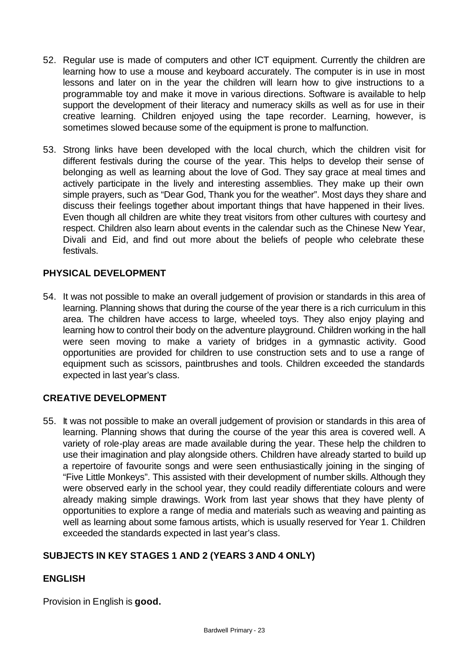- 52. Regular use is made of computers and other ICT equipment. Currently the children are learning how to use a mouse and keyboard accurately. The computer is in use in most lessons and later on in the year the children will learn how to give instructions to a programmable toy and make it move in various directions. Software is available to help support the development of their literacy and numeracy skills as well as for use in their creative learning. Children enjoyed using the tape recorder. Learning, however, is sometimes slowed because some of the equipment is prone to malfunction.
- 53. Strong links have been developed with the local church, which the children visit for different festivals during the course of the year. This helps to develop their sense of belonging as well as learning about the love of God. They say grace at meal times and actively participate in the lively and interesting assemblies. They make up their own simple prayers, such as "Dear God, Thank you for the weather". Most days they share and discuss their feelings together about important things that have happened in their lives. Even though all children are white they treat visitors from other cultures with courtesy and respect. Children also learn about events in the calendar such as the Chinese New Year, Divali and Eid, and find out more about the beliefs of people who celebrate these festivals.

### **PHYSICAL DEVELOPMENT**

54. It was not possible to make an overall judgement of provision or standards in this area of learning. Planning shows that during the course of the year there is a rich curriculum in this area. The children have access to large, wheeled toys. They also enjoy playing and learning how to control their body on the adventure playground. Children working in the hall were seen moving to make a variety of bridges in a gymnastic activity. Good opportunities are provided for children to use construction sets and to use a range of equipment such as scissors, paintbrushes and tools. Children exceeded the standards expected in last year's class.

### **CREATIVE DEVELOPMENT**

55. It was not possible to make an overall judgement of provision or standards in this area of learning. Planning shows that during the course of the year this area is covered well. A variety of role-play areas are made available during the year. These help the children to use their imagination and play alongside others. Children have already started to build up a repertoire of favourite songs and were seen enthusiastically joining in the singing of "Five Little Monkeys". This assisted with their development of number skills. Although they were observed early in the school year, they could readily differentiate colours and were already making simple drawings. Work from last year shows that they have plenty of opportunities to explore a range of media and materials such as weaving and painting as well as learning about some famous artists, which is usually reserved for Year 1. Children exceeded the standards expected in last year's class.

### **SUBJECTS IN KEY STAGES 1 AND 2 (YEARS 3 AND 4 ONLY)**

### **ENGLISH**

Provision in English is **good.**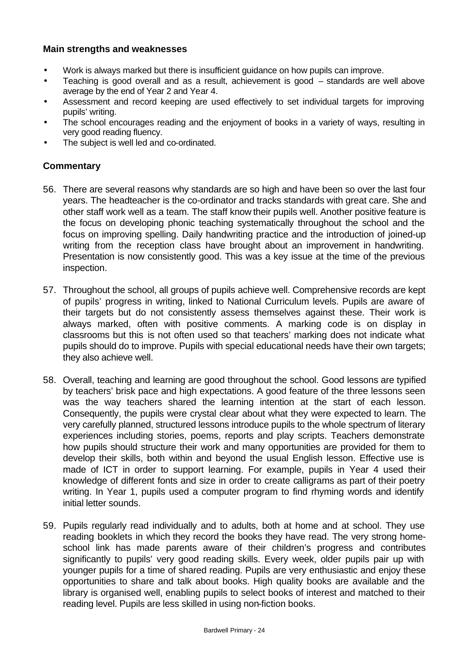### **Main strengths and weaknesses**

- Work is always marked but there is insufficient guidance on how pupils can improve.
- Teaching is good overall and as a result, achievement is good standards are well above average by the end of Year 2 and Year 4.
- Assessment and record keeping are used effectively to set individual targets for improving pupils' writing.
- The school encourages reading and the enjoyment of books in a variety of ways, resulting in very good reading fluency.
- The subject is well led and co-ordinated.

- 56. There are several reasons why standards are so high and have been so over the last four years. The headteacher is the co-ordinator and tracks standards with great care. She and other staff work well as a team. The staff know their pupils well. Another positive feature is the focus on developing phonic teaching systematically throughout the school and the focus on improving spelling. Daily handwriting practice and the introduction of joined-up writing from the reception class have brought about an improvement in handwriting. Presentation is now consistently good. This was a key issue at the time of the previous inspection.
- 57. Throughout the school, all groups of pupils achieve well. Comprehensive records are kept of pupils' progress in writing, linked to National Curriculum levels. Pupils are aware of their targets but do not consistently assess themselves against these. Their work is always marked, often with positive comments. A marking code is on display in classrooms but this is not often used so that teachers' marking does not indicate what pupils should do to improve. Pupils with special educational needs have their own targets; they also achieve well.
- 58. Overall, teaching and learning are good throughout the school. Good lessons are typified by teachers' brisk pace and high expectations. A good feature of the three lessons seen was the way teachers shared the learning intention at the start of each lesson. Consequently, the pupils were crystal clear about what they were expected to learn. The very carefully planned, structured lessons introduce pupils to the whole spectrum of literary experiences including stories, poems, reports and play scripts. Teachers demonstrate how pupils should structure their work and many opportunities are provided for them to develop their skills, both within and beyond the usual English lesson. Effective use is made of ICT in order to support learning. For example, pupils in Year 4 used their knowledge of different fonts and size in order to create calligrams as part of their poetry writing. In Year 1, pupils used a computer program to find rhyming words and identify initial letter sounds.
- 59. Pupils regularly read individually and to adults, both at home and at school. They use reading booklets in which they record the books they have read. The very strong homeschool link has made parents aware of their children's progress and contributes significantly to pupils' very good reading skills. Every week, older pupils pair up with younger pupils for a time of shared reading. Pupils are very enthusiastic and enjoy these opportunities to share and talk about books. High quality books are available and the library is organised well, enabling pupils to select books of interest and matched to their reading level. Pupils are less skilled in using non-fiction books.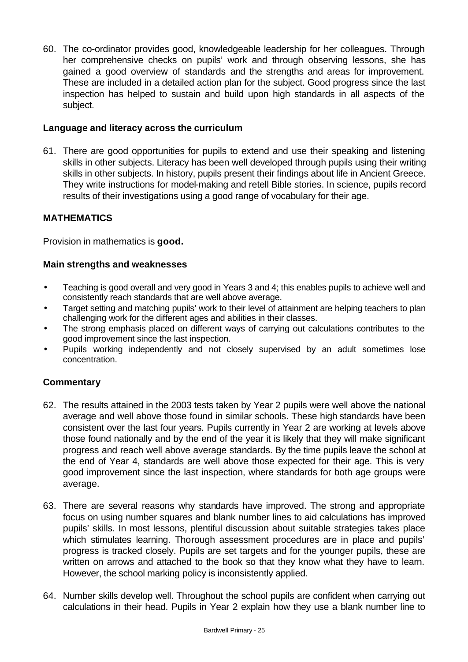60. The co-ordinator provides good, knowledgeable leadership for her colleagues. Through her comprehensive checks on pupils' work and through observing lessons, she has gained a good overview of standards and the strengths and areas for improvement. These are included in a detailed action plan for the subject. Good progress since the last inspection has helped to sustain and build upon high standards in all aspects of the subject.

### **Language and literacy across the curriculum**

61. There are good opportunities for pupils to extend and use their speaking and listening skills in other subjects. Literacy has been well developed through pupils using their writing skills in other subjects. In history, pupils present their findings about life in Ancient Greece. They write instructions for model-making and retell Bible stories. In science, pupils record results of their investigations using a good range of vocabulary for their age.

## **MATHEMATICS**

Provision in mathematics is **good.**

### **Main strengths and weaknesses**

- Teaching is good overall and very good in Years 3 and 4; this enables pupils to achieve well and consistently reach standards that are well above average.
- Target setting and matching pupils' work to their level of attainment are helping teachers to plan challenging work for the different ages and abilities in their classes.
- The strong emphasis placed on different ways of carrying out calculations contributes to the good improvement since the last inspection.
- Pupils working independently and not closely supervised by an adult sometimes lose concentration.

- 62. The results attained in the 2003 tests taken by Year 2 pupils were well above the national average and well above those found in similar schools. These high standards have been consistent over the last four years. Pupils currently in Year 2 are working at levels above those found nationally and by the end of the year it is likely that they will make significant progress and reach well above average standards. By the time pupils leave the school at the end of Year 4, standards are well above those expected for their age. This is very good improvement since the last inspection, where standards for both age groups were average.
- 63. There are several reasons why standards have improved. The strong and appropriate focus on using number squares and blank number lines to aid calculations has improved pupils' skills. In most lessons, plentiful discussion about suitable strategies takes place which stimulates learning. Thorough assessment procedures are in place and pupils' progress is tracked closely. Pupils are set targets and for the younger pupils, these are written on arrows and attached to the book so that they know what they have to learn. However, the school marking policy is inconsistently applied.
- 64. Number skills develop well. Throughout the school pupils are confident when carrying out calculations in their head. Pupils in Year 2 explain how they use a blank number line to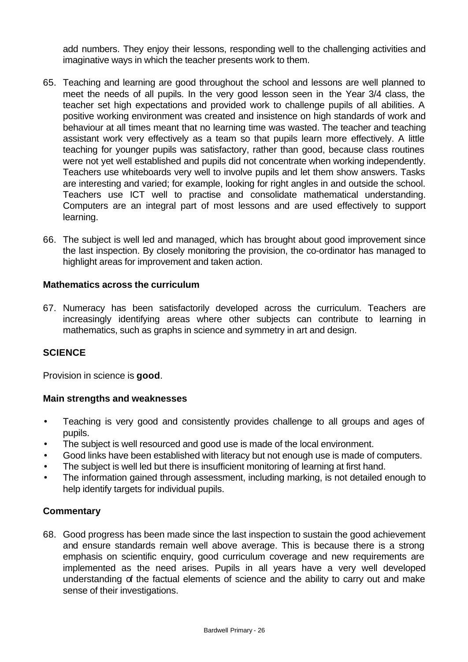add numbers. They enjoy their lessons, responding well to the challenging activities and imaginative ways in which the teacher presents work to them.

- 65. Teaching and learning are good throughout the school and lessons are well planned to meet the needs of all pupils. In the very good lesson seen in the Year 3/4 class, the teacher set high expectations and provided work to challenge pupils of all abilities. A positive working environment was created and insistence on high standards of work and behaviour at all times meant that no learning time was wasted. The teacher and teaching assistant work very effectively as a team so that pupils learn more effectively. A little teaching for younger pupils was satisfactory, rather than good, because class routines were not yet well established and pupils did not concentrate when working independently. Teachers use whiteboards very well to involve pupils and let them show answers. Tasks are interesting and varied; for example, looking for right angles in and outside the school. Teachers use ICT well to practise and consolidate mathematical understanding. Computers are an integral part of most lessons and are used effectively to support learning.
- 66. The subject is well led and managed, which has brought about good improvement since the last inspection. By closely monitoring the provision, the co-ordinator has managed to highlight areas for improvement and taken action.

### **Mathematics across the curriculum**

67. Numeracy has been satisfactorily developed across the curriculum. Teachers are increasingly identifying areas where other subjects can contribute to learning in mathematics, such as graphs in science and symmetry in art and design.

### **SCIENCE**

Provision in science is **good**.

### **Main strengths and weaknesses**

- Teaching is very good and consistently provides challenge to all groups and ages of pupils.
- The subject is well resourced and good use is made of the local environment.
- Good links have been established with literacy but not enough use is made of computers.
- The subject is well led but there is insufficient monitoring of learning at first hand.
- The information gained through assessment, including marking, is not detailed enough to help identify targets for individual pupils.

### **Commentary**

68. Good progress has been made since the last inspection to sustain the good achievement and ensure standards remain well above average. This is because there is a strong emphasis on scientific enquiry, good curriculum coverage and new requirements are implemented as the need arises. Pupils in all years have a very well developed understanding of the factual elements of science and the ability to carry out and make sense of their investigations.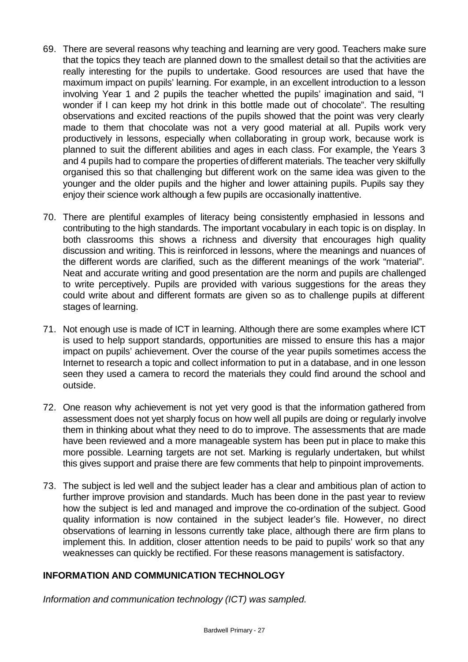- 69. There are several reasons why teaching and learning are very good. Teachers make sure that the topics they teach are planned down to the smallest detail so that the activities are really interesting for the pupils to undertake. Good resources are used that have the maximum impact on pupils' learning. For example, in an excellent introduction to a lesson involving Year 1 and 2 pupils the teacher whetted the pupils' imagination and said, "I wonder if I can keep my hot drink in this bottle made out of chocolate". The resulting observations and excited reactions of the pupils showed that the point was very clearly made to them that chocolate was not a very good material at all. Pupils work very productively in lessons, especially when collaborating in group work, because work is planned to suit the different abilities and ages in each class. For example, the Years 3 and 4 pupils had to compare the properties of different materials. The teacher very skilfully organised this so that challenging but different work on the same idea was given to the younger and the older pupils and the higher and lower attaining pupils. Pupils say they enjoy their science work although a few pupils are occasionally inattentive.
- 70. There are plentiful examples of literacy being consistently emphasied in lessons and contributing to the high standards. The important vocabulary in each topic is on display. In both classrooms this shows a richness and diversity that encourages high quality discussion and writing. This is reinforced in lessons, where the meanings and nuances of the different words are clarified, such as the different meanings of the work "material". Neat and accurate writing and good presentation are the norm and pupils are challenged to write perceptively. Pupils are provided with various suggestions for the areas they could write about and different formats are given so as to challenge pupils at different stages of learning.
- 71. Not enough use is made of ICT in learning. Although there are some examples where ICT is used to help support standards, opportunities are missed to ensure this has a major impact on pupils' achievement. Over the course of the year pupils sometimes access the Internet to research a topic and collect information to put in a database, and in one lesson seen they used a camera to record the materials they could find around the school and outside.
- 72. One reason why achievement is not yet very good is that the information gathered from assessment does not yet sharply focus on how well all pupils are doing or regularly involve them in thinking about what they need to do to improve. The assessments that are made have been reviewed and a more manageable system has been put in place to make this more possible. Learning targets are not set. Marking is regularly undertaken, but whilst this gives support and praise there are few comments that help to pinpoint improvements.
- 73. The subject is led well and the subject leader has a clear and ambitious plan of action to further improve provision and standards. Much has been done in the past year to review how the subject is led and managed and improve the co-ordination of the subject. Good quality information is now contained in the subject leader's file. However, no direct observations of learning in lessons currently take place, although there are firm plans to implement this. In addition, closer attention needs to be paid to pupils' work so that any weaknesses can quickly be rectified. For these reasons management is satisfactory.

## **INFORMATION AND COMMUNICATION TECHNOLOGY**

*Information and communication technology (ICT) was sampled.*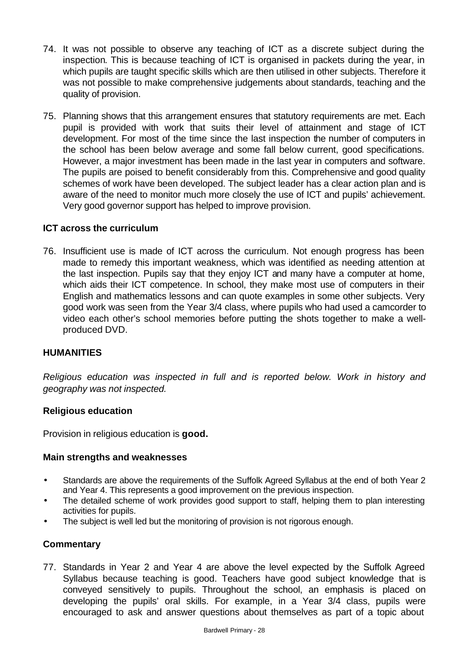- 74. It was not possible to observe any teaching of ICT as a discrete subject during the inspection. This is because teaching of ICT is organised in packets during the year, in which pupils are taught specific skills which are then utilised in other subjects. Therefore it was not possible to make comprehensive judgements about standards, teaching and the quality of provision.
- 75. Planning shows that this arrangement ensures that statutory requirements are met. Each pupil is provided with work that suits their level of attainment and stage of ICT development. For most of the time since the last inspection the number of computers in the school has been below average and some fall below current, good specifications. However, a major investment has been made in the last year in computers and software. The pupils are poised to benefit considerably from this. Comprehensive and good quality schemes of work have been developed. The subject leader has a clear action plan and is aware of the need to monitor much more closely the use of ICT and pupils' achievement. Very good governor support has helped to improve provision.

### **ICT across the curriculum**

76. Insufficient use is made of ICT across the curriculum. Not enough progress has been made to remedy this important weakness, which was identified as needing attention at the last inspection. Pupils say that they enjoy ICT and many have a computer at home, which aids their ICT competence. In school, they make most use of computers in their English and mathematics lessons and can quote examples in some other subjects. Very good work was seen from the Year 3/4 class, where pupils who had used a camcorder to video each other's school memories before putting the shots together to make a wellproduced DVD.

### **HUMANITIES**

*Religious education was inspected in full and is reported below. Work in history and geography was not inspected.*

#### **Religious education**

Provision in religious education is **good.**

#### **Main strengths and weaknesses**

- Standards are above the requirements of the Suffolk Agreed Syllabus at the end of both Year 2 and Year 4. This represents a good improvement on the previous inspection.
- The detailed scheme of work provides good support to staff, helping them to plan interesting activities for pupils.
- The subject is well led but the monitoring of provision is not rigorous enough.

### **Commentary**

77. Standards in Year 2 and Year 4 are above the level expected by the Suffolk Agreed Syllabus because teaching is good. Teachers have good subject knowledge that is conveyed sensitively to pupils. Throughout the school, an emphasis is placed on developing the pupils' oral skills. For example, in a Year 3/4 class, pupils were encouraged to ask and answer questions about themselves as part of a topic about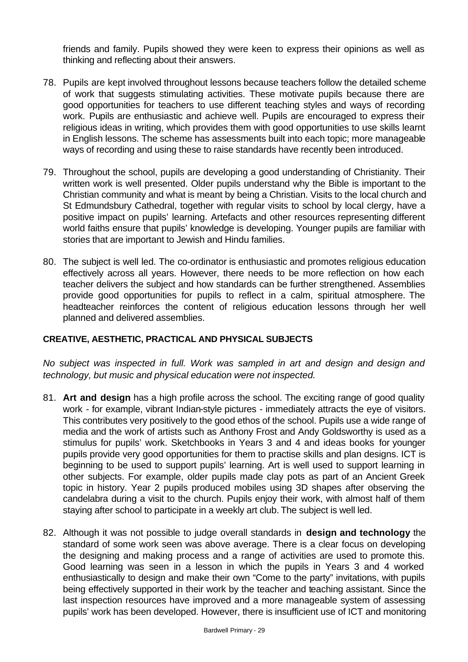friends and family. Pupils showed they were keen to express their opinions as well as thinking and reflecting about their answers.

- 78. Pupils are kept involved throughout lessons because teachers follow the detailed scheme of work that suggests stimulating activities. These motivate pupils because there are good opportunities for teachers to use different teaching styles and ways of recording work. Pupils are enthusiastic and achieve well. Pupils are encouraged to express their religious ideas in writing, which provides them with good opportunities to use skills learnt in English lessons. The scheme has assessments built into each topic; more manageable ways of recording and using these to raise standards have recently been introduced.
- 79. Throughout the school, pupils are developing a good understanding of Christianity. Their written work is well presented. Older pupils understand why the Bible is important to the Christian community and what is meant by being a Christian. Visits to the local church and St Edmundsbury Cathedral, together with regular visits to school by local clergy, have a positive impact on pupils' learning. Artefacts and other resources representing different world faiths ensure that pupils' knowledge is developing. Younger pupils are familiar with stories that are important to Jewish and Hindu families.
- 80. The subject is well led. The co-ordinator is enthusiastic and promotes religious education effectively across all years. However, there needs to be more reflection on how each teacher delivers the subject and how standards can be further strengthened. Assemblies provide good opportunities for pupils to reflect in a calm, spiritual atmosphere. The headteacher reinforces the content of religious education lessons through her well planned and delivered assemblies.

### **CREATIVE, AESTHETIC, PRACTICAL AND PHYSICAL SUBJECTS**

*No subject was inspected in full. Work was sampled in art and design and design and technology, but music and physical education were not inspected.*

- 81. **Art and design** has a high profile across the school. The exciting range of good quality work - for example, vibrant Indian-style pictures - immediately attracts the eye of visitors. This contributes very positively to the good ethos of the school. Pupils use a wide range of media and the work of artists such as Anthony Frost and Andy Goldsworthy is used as a stimulus for pupils' work. Sketchbooks in Years 3 and 4 and ideas books for younger pupils provide very good opportunities for them to practise skills and plan designs. ICT is beginning to be used to support pupils' learning. Art is well used to support learning in other subjects. For example, older pupils made clay pots as part of an Ancient Greek topic in history. Year 2 pupils produced mobiles using 3D shapes after observing the candelabra during a visit to the church. Pupils enjoy their work, with almost half of them staying after school to participate in a weekly art club. The subject is well led.
- 82. Although it was not possible to judge overall standards in **design and technology** the standard of some work seen was above average. There is a clear focus on developing the designing and making process and a range of activities are used to promote this. Good learning was seen in a lesson in which the pupils in Years 3 and 4 worked enthusiastically to design and make their own "Come to the party" invitations, with pupils being effectively supported in their work by the teacher and teaching assistant. Since the last inspection resources have improved and a more manageable system of assessing pupils' work has been developed. However, there is insufficient use of ICT and monitoring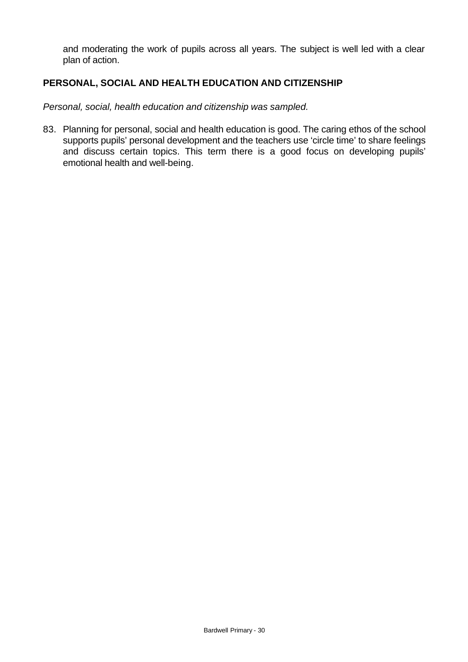and moderating the work of pupils across all years. The subject is well led with a clear plan of action.

### **PERSONAL, SOCIAL AND HEALTH EDUCATION AND CITIZENSHIP**

*Personal, social, health education and citizenship was sampled.*

83. Planning for personal, social and health education is good. The caring ethos of the school supports pupils' personal development and the teachers use 'circle time' to share feelings and discuss certain topics. This term there is a good focus on developing pupils' emotional health and well-being.